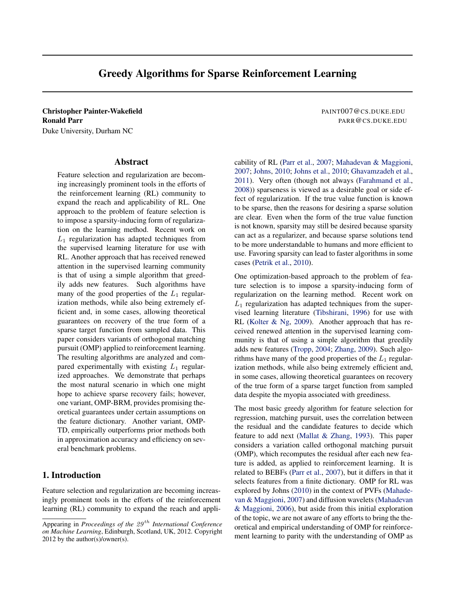# Greedy Algorithms for Sparse Reinforcement Learning

<span id="page-0-0"></span>Christopher Painter-Wakefield **PAINT007@CS.DUKE.EDU** Ronald Parr PARR @CS.DUKE.EDU

Duke University, Durham NC

## Abstract

Feature selection and regularization are becoming increasingly prominent tools in the efforts of the reinforcement learning (RL) community to expand the reach and applicability of RL. One approach to the problem of feature selection is to impose a sparsity-inducing form of regularization on the learning method. Recent work on  $L_1$  regularization has adapted techniques from the supervised learning literature for use with RL. Another approach that has received renewed attention in the supervised learning community is that of using a simple algorithm that greedily adds new features. Such algorithms have many of the good properties of the  $L_1$  regularization methods, while also being extremely efficient and, in some cases, allowing theoretical guarantees on recovery of the true form of a sparse target function from sampled data. This paper considers variants of orthogonal matching pursuit (OMP) applied to reinforcement learning. The resulting algorithms are analyzed and compared experimentally with existing  $L_1$  regularized approaches. We demonstrate that perhaps the most natural scenario in which one might hope to achieve sparse recovery fails; however, one variant, OMP-BRM, provides promising theoretical guarantees under certain assumptions on the feature dictionary. Another variant, OMP-TD, empirically outperforms prior methods both in approximation accuracy and efficiency on several benchmark problems.

# 1. Introduction

Feature selection and regularization are becoming increasingly prominent tools in the efforts of the reinforcement learning (RL) community to expand the reach and appli-

cability of RL [\(Parr et al.,](#page-7-0) [2007;](#page-7-0) [Mahadevan & Maggioni,](#page-7-0) [2007;](#page-7-0) [Johns,](#page-7-0) [2010;](#page-7-0) [Johns et al.,](#page-7-0) [2010;](#page-7-0) [Ghavamzadeh et al.,](#page-7-0) [2011\)](#page-7-0). Very often (though not always [\(Farahmand et al.,](#page-7-0) [2008\)](#page-7-0)) sparseness is viewed as a desirable goal or side effect of regularization. If the true value function is known to be sparse, then the reasons for desiring a sparse solution are clear. Even when the form of the true value function is not known, sparsity may still be desired because sparsity can act as a regularizer, and because sparse solutions tend to be more understandable to humans and more efficient to use. Favoring sparsity can lead to faster algorithms in some cases [\(Petrik et al.,](#page-7-0) [2010\)](#page-7-0).

One optimization-based approach to the problem of feature selection is to impose a sparsity-inducing form of regularization on the learning method. Recent work on  $L_1$  regularization has adapted techniques from the supervised learning literature [\(Tibshirani,](#page-7-0) [1996\)](#page-7-0) for use with RL [\(Kolter & Ng,](#page-7-0) [2009\)](#page-7-0). Another approach that has received renewed attention in the supervised learning community is that of using a simple algorithm that greedily adds new features [\(Tropp,](#page-7-0) [2004;](#page-7-0) [Zhang,](#page-7-0) [2009\)](#page-7-0). Such algorithms have many of the good properties of the  $L_1$  regularization methods, while also being extremely efficient and, in some cases, allowing theoretical guarantees on recovery of the true form of a sparse target function from sampled data despite the myopia associated with greediness.

The most basic greedy algorithm for feature selection for regression, matching pursuit, uses the correlation between the residual and the candidate features to decide which feature to add next [\(Mallat & Zhang,](#page-7-0) [1993\)](#page-7-0). This paper considers a variation called orthogonal matching pursuit (OMP), which recomputes the residual after each new feature is added, as applied to reinforcement learning. It is related to BEBFs [\(Parr et al.,](#page-7-0) [2007\)](#page-7-0), but it differs in that it selects features from a finite dictionary. OMP for RL was explored by Johns [\(2010\)](#page-7-0) in the context of PVFs [\(Mahade](#page-7-0)[van & Maggioni,](#page-7-0) [2007\)](#page-7-0) and diffusion wavelets [\(Mahadevan](#page-7-0) [& Maggioni,](#page-7-0) [2006\)](#page-7-0), but aside from this initial exploration of the topic, we are not aware of any efforts to bring the theoretical and empirical understanding of OMP for reinforcement learning to parity with the understanding of OMP as

Appearing in *Proceedings of the 29<sup>th</sup> International Conference on Machine Learning*, Edinburgh, Scotland, UK, 2012. Copyright 2012 by the author(s)/owner(s).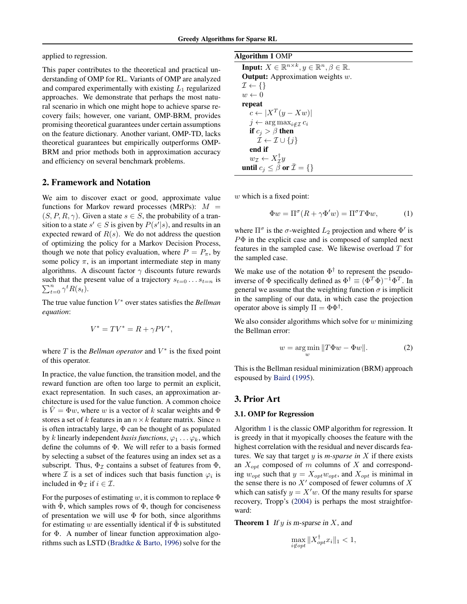applied to regression.

This paper contributes to the theoretical and practical understanding of OMP for RL. Variants of OMP are analyzed and compared experimentally with existing  $L_1$  regularized approaches. We demonstrate that perhaps the most natural scenario in which one might hope to achieve sparse recovery fails; however, one variant, OMP-BRM, provides promising theoretical guarantees under certain assumptions on the feature dictionary. Another variant, OMP-TD, lacks theoretical guarantees but empirically outperforms OMP-BRM and prior methods both in approximation accuracy and efficiency on several benchmark problems.

# 2. Framework and Notation

We aim to discover exact or good, approximate value functions for Markov reward processes (MRPs):  $M =$  $(S, P, R, \gamma)$ . Given a state  $s \in S$ , the probability of a transition to a state  $s' \in S$  is given by  $P(s'|s)$ , and results in an expected reward of  $R(s)$ . We do not address the question of optimizing the policy for a Markov Decision Process, though we note that policy evaluation, where  $P = P_{\pi}$ , by some policy  $\pi$ , is an important intermediate step in many algorithms. A discount factor  $\gamma$  discounts future rewards  $\sum_{t=0}^{n} \gamma^t R(s_t)$ . such that the present value of a trajectory  $s_{t=0} \ldots s_{t=n}$  is

The true value function V <sup>∗</sup> over states satisfies the *Bellman equation*:

$$
V^* = TV^* = R + \gamma PV^*,
$$

where  $T$  is the *Bellman operator* and  $V^*$  is the fixed point of this operator.

In practice, the value function, the transition model, and the reward function are often too large to permit an explicit, exact representation. In such cases, an approximation architecture is used for the value function. A common choice is  $\hat{V} = \Phi w$ , where w is a vector of k scalar weights and  $\Phi$ stores a set of k features in an  $n \times k$  feature matrix. Since n is often intractably large,  $\Phi$  can be thought of as populated by k linearly independent *basis functions*,  $\varphi_1 \dots \varphi_k$ , which define the columns of Φ. We will refer to a basis formed by selecting a subset of the features using an index set as a subscript. Thus,  $\Phi_{\mathcal{I}}$  contains a subset of features from  $\Phi$ , where  $\mathcal I$  is a set of indices such that basis function  $\varphi_i$  is included in  $\Phi_{\mathcal{I}}$  if  $i \in \mathcal{I}$ .

For the purposes of estimating w, it is common to replace  $\Phi$ with  $\Phi$ , which samples rows of  $\Phi$ , though for conciseness of presentation we will use  $\Phi$  for both, since algorithms for estimating w are essentially identical if  $\Phi$  is substituted for Φ. A number of linear function approximation algorithms such as LSTD [\(Bradtke & Barto,](#page-7-0) [1996\)](#page-7-0) solve for the

| <b>Algorithm 1 OMP</b> |  |  |
|------------------------|--|--|
|------------------------|--|--|

Input:  $X \in \mathbb{R}^{n \times k}$ ,  $y \in \mathbb{R}^n$ ,  $\beta \in \mathbb{R}$ . **Output:** Approximation weights  $w$ .  $\mathcal{I} \leftarrow \{\}$  $w \leftarrow 0$ repeat  $c \leftarrow |X^T(y - Xw)|$  $j \leftarrow \arg \max_{i \notin \mathcal{I}} c_i$ if  $c_j > \beta$  then  $\mathcal{I} \leftarrow \mathcal{I} \cup \{j\}$ end if  $w_{\mathcal{I}} \leftarrow X_{\mathcal{I}}^{\dagger} y$ until  $c_j \leq \tilde{\beta}$  or  $\bar{\mathcal{I}} = \{\}$ 

 $w$  which is a fixed point:

$$
\Phi w = \Pi^{\sigma} (R + \gamma \Phi' w) = \Pi^{\sigma} T \Phi w, \tag{1}
$$

where  $\Pi^{\sigma}$  is the  $\sigma$ -weighted  $L_2$  projection and where  $\Phi'$  is  $P\Phi$  in the explicit case and is composed of sampled next features in the sampled case. We likewise overload T for the sampled case.

We make use of the notation  $\Phi^{\dagger}$  to represent the pseudoinverse of  $\Phi$  specifically defined as  $\Phi^{\dagger} \equiv (\Phi^T \Phi)^{-1} \Phi^T$ . In general we assume that the weighting function  $\sigma$  is implicit in the sampling of our data, in which case the projection operator above is simply  $\Pi = \Phi \Phi^{\dagger}$ .

We also consider algorithms which solve for  $w$  minimizing the Bellman error:

$$
w = \underset{w}{\arg\min} \|T\Phi w - \Phi w\|.\tag{2}
$$

This is the Bellman residual minimization (BRM) approach espoused by [Baird](#page-7-0) [\(1995\)](#page-7-0).

### 3. Prior Art

#### 3.1. OMP for Regression

Algorithm 1 is the classic OMP algorithm for regression. It is greedy in that it myopically chooses the feature with the highest correlation with the residual and never discards features. We say that target y is *m-sparse in* X if there exists an  $X_{opt}$  composed of m columns of X and corresponding  $w_{opt}$  such that  $y = X_{opt}w_{opt}$ , and  $X_{opt}$  is minimal in the sense there is no  $X'$  composed of fewer columns of  $X$ which can satisfy  $y = X'w$ . Of the many results for sparse recovery, Tropp's [\(2004\)](#page-7-0) is perhaps the most straightforward:

**Theorem 1** If y is m-sparse in  $X$ , and

$$
\max_{i \notin opt} \|X_{opt}^{\dagger} x_i\|_1 < 1,
$$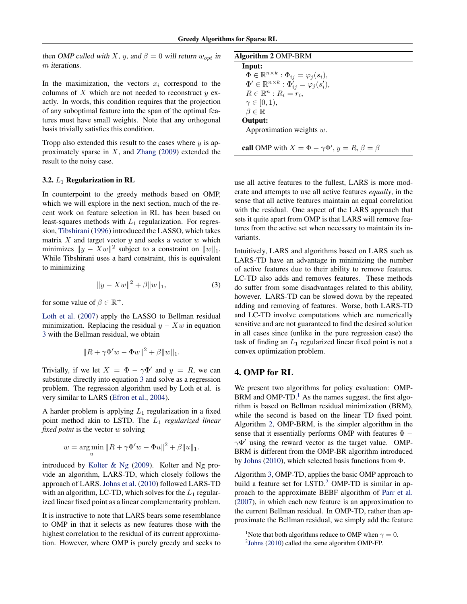then OMP called with X, y, and  $\beta = 0$  will return  $w_{opt}$  in m iterations.

In the maximization, the vectors  $x_i$  correspond to the columns of  $X$  which are not needed to reconstruct  $y$  exactly. In words, this condition requires that the projection of any suboptimal feature into the span of the optimal features must have small weights. Note that any orthogonal basis trivially satisfies this condition.

Tropp also extended this result to the cases where  $y$  is approximately sparse in  $X$ , and [Zhang](#page-7-0) [\(2009\)](#page-7-0) extended the result to the noisy case.

#### 3.2.  $L_1$  Regularization in RL

In counterpoint to the greedy methods based on OMP, which we will explore in the next section, much of the recent work on feature selection in RL has been based on least-squares methods with  $L_1$  regularization. For regression, [Tibshirani](#page-7-0) [\(1996\)](#page-7-0) introduced the LASSO, which takes matrix  $X$  and target vector  $y$  and seeks a vector  $w$  which minimizes  $||y - Xw||^2$  subject to a constraint on  $||w||_1$ . While Tibshirani uses a hard constraint, this is equivalent to minimizing

$$
||y - Xw||^2 + \beta ||w||_1,
$$
 (3)

for some value of  $\beta \in \mathbb{R}^+$ .

[Loth et al.](#page-7-0) [\(2007\)](#page-7-0) apply the LASSO to Bellman residual minimization. Replacing the residual  $y - Xw$  in equation 3 with the Bellman residual, we obtain

$$
||R + \gamma \Phi' w - \Phi w||^2 + \beta ||w||_1.
$$

Trivially, if we let  $X = \Phi - \gamma \Phi'$  and  $y = R$ , we can substitute directly into equation 3 and solve as a regression problem. The regression algorithm used by Loth et al. is very similar to LARS [\(Efron et al.,](#page-7-0) [2004\)](#page-7-0).

A harder problem is applying  $L_1$  regularization in a fixed point method akin to LSTD. The L<sup>1</sup> *regularized linear fixed point* is the vector w solving

$$
w = \underset{u}{\arg \min} \|R + \gamma \Phi' w - \Phi u\|^2 + \beta \|u\|_1.
$$

introduced by [Kolter & Ng](#page-7-0) [\(2009\)](#page-7-0). Kolter and Ng provide an algorithm, LARS-TD, which closely follows the approach of LARS. [Johns et al.](#page-7-0) [\(2010\)](#page-7-0) followed LARS-TD with an algorithm, LC-TD, which solves for the  $L_1$  regularized linear fixed point as a linear complementarity problem.

It is instructive to note that LARS bears some resemblance to OMP in that it selects as new features those with the highest correlation to the residual of its current approximation. However, where OMP is purely greedy and seeks to

| <b>Algorithm 2 OMP-BRM</b>                                          |  |
|---------------------------------------------------------------------|--|
| Input:                                                              |  |
| $\Phi \in \mathbb{R}^{n \times k} : \Phi_{ij} = \varphi_j(s_i),$    |  |
| $\Phi' \in \mathbb{R}^{n \times k} : \Phi'_{ij} = \varphi_j(s'_i),$ |  |
| $R \in \mathbb{R}^n : R_i = r_i$                                    |  |
| $\gamma \in [0,1),$                                                 |  |
| $\beta \in \mathbb{R}$                                              |  |
| Output:                                                             |  |
| Approximation weights $w$ .                                         |  |

use all active features to the fullest, LARS is more moderate and attempts to use all active features *equally*, in the sense that all active features maintain an equal correlation

call OMP with  $X = \Phi - \gamma \Phi'$ ,  $y = R$ ,  $\beta = \beta$ 

with the residual. One aspect of the LARS approach that sets it quite apart from OMP is that LARS will remove features from the active set when necessary to maintain its invariants.

Intuitively, LARS and algorithms based on LARS such as LARS-TD have an advantage in minimizing the number of active features due to their ability to remove features. LC-TD also adds and removes features. These methods do suffer from some disadvantages related to this ability, however. LARS-TD can be slowed down by the repeated adding and removing of features. Worse, both LARS-TD and LC-TD involve computations which are numerically sensitive and are not guaranteed to find the desired solution in all cases since (unlike in the pure regression case) the task of finding an  $L_1$  regularized linear fixed point is not a convex optimization problem.

# 4. OMP for RL

We present two algorithms for policy evaluation: OMP-BRM and OMP-TD.<sup>[1](#page-0-0)</sup> As the names suggest, the first algorithm is based on Bellman residual minimization (BRM), while the second is based on the linear TD fixed point. Algorithm 2, OMP-BRM, is the simpler algorithm in the sense that it essentially performs OMP with features  $\Phi$  −  $\gamma\Phi'$  using the reward vector as the target value. OMP-BRM is different from the OMP-BR algorithm introduced by [Johns](#page-7-0) [\(2010\)](#page-7-0), which selected basis functions from Φ.

Algorithm [3,](#page-3-0) OMP-TD, applies the basic OMP approach to build a feature set for LSTD.<sup>[2](#page-0-0)</sup> OMP-TD is similar in approach to the approximate BEBF algorithm of [Parr et al.](#page-7-0) [\(2007\)](#page-7-0), in which each new feature is an approximation to the current Bellman residual. In OMP-TD, rather than approximate the Bellman residual, we simply add the feature

<sup>&</sup>lt;sup>1</sup>Note that both algorithms reduce to OMP when  $\gamma = 0$ .

 $2$ [Johns](#page-7-0) [\(2010\)](#page-7-0) called the same algorithm OMP-FP.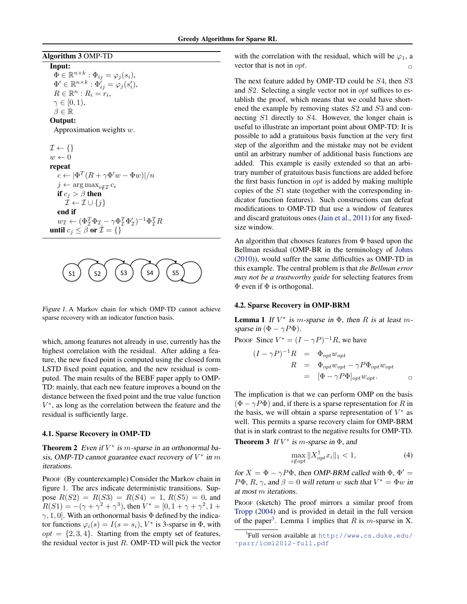## <span id="page-3-0"></span>Algorithm 3 OMP-TD

#### Input:

 $\tilde{\Phi} \in \mathbb{R}^{n \times k} : \Phi_{ij} = \varphi_j(s_i),$  $\Phi'\in\mathbb{R}^{n\times k}:\Phi_{ij}^{'}=\varphi_{j}(s_{i}'),$  $R \in \mathbb{R}^n : R_i = r_i,$  $\gamma \in [0,1),$  $\beta \in \mathbb{R}$ 

#### Output:

Approximation weights w.

 $\mathcal{I} \leftarrow \{\}$  $w \leftarrow 0$ repeat  $c \leftarrow |\Phi^T(R + \gamma \Phi' w - \Phi w)|/n$  $j \leftarrow \arg \max_{i \notin \mathcal{I}} c_i$ if  $c_j > \beta$  then  $\mathcal{I} \leftarrow \mathcal{I} \cup \{i\}$ end if  $w_{\mathcal{I}} \leftarrow (\Phi_{\mathcal{I}}^T \Phi_{\mathcal{I}} - \gamma \Phi_{\mathcal{I}}^T \Phi_{\mathcal{I}}')^{-1} \Phi_{\mathcal{I}}^T R$ until  $c_j \leq \beta$  or  $\bar{\mathcal{I}} = \{\}$ 



Figure 1. A Markov chain for which OMP-TD cannot achieve sparse recovery with an indicator function basis.

which, among features not already in use, currently has the highest correlation with the residual. After adding a feature, the new fixed point is computed using the closed form LSTD fixed point equation, and the new residual is computed. The main results of the BEBF paper apply to OMP-TD: mainly, that each new feature improves a bound on the distance between the fixed point and the true value function V ∗ , as long as the correlation between the feature and the residual is sufficiently large.

#### 4.1. Sparse Recovery in OMP-TD

**Theorem 2** Even if  $V^*$  is m-sparse in an orthonormal basis, OMP-TD cannot guarantee exact recovery of  $V^*$  in m iterations.

PROOF (By counterexample) Consider the Markov chain in figure 1. The arcs indicate deterministic transitions. Suppose  $R(S2) = R(S3) = R(S4) = 1, R(S5) = 0$ , and  $R(S1) = -(\gamma + \gamma^2 + \gamma^3)$ , then  $V^* = [0, 1 + \gamma + \gamma^2, 1 + \gamma]$  $\gamma$ , 1, 0]. With an orthonormal basis  $\Phi$  defined by the indicator functions  $\varphi_i(s) = I(s = s_i)$ ,  $V^*$  is 3-sparse in  $\Phi$ , with  $opt = \{2, 3, 4\}$ . Starting from the empty set of features, the residual vector is just  $R$ . OMP-TD will pick the vector

with the correlation with the residual, which will be  $\varphi_1$ , a vector that is not in *opt*.

The next feature added by OMP-TD could be S4, then S3 and S2. Selecting a single vector not in opt suffices to establish the proof, which means that we could have shortened the example by removing states  $S2$  and  $S3$  and connecting S1 directly to S4. However, the longer chain is useful to illustrate an important point about OMP-TD: It is possible to add a gratuitous basis function at the very first step of the algorithm and the mistake may not be evident until an arbitrary number of additional basis functions are added. This example is easily extended so that an arbitrary number of gratuitous basis functions are added before the first basis function in  $opt$  is added by making multiple copies of the S1 state (together with the corresponding indicator function features). Such constructions can defeat modifications to OMP-TD that use a window of features and discard gratuitous ones [\(Jain et al.,](#page-7-0) [2011\)](#page-7-0) for any fixedsize window.

An algorithm that chooses features from Φ based upon the Bellman residual (OMP-BR in the terminology of [Johns](#page-7-0) [\(2010\)](#page-7-0)), would suffer the same difficulties as OMP-TD in this example. The central problem is that *the Bellman error may not be a trustworthy guide* for selecting features from  $\Phi$  even if  $\Phi$  is orthogonal.

#### 4.2. Sparse Recovery in OMP-BRM

**Lemma 1** If  $V^*$  is m-sparse in  $\Phi$ , then R is at least msparse in  $(\Phi - \gamma P \Phi)$ .

Proof Since  $V^* = (I - \gamma P)^{-1}R$ , we have

$$
(I - \gamma P)^{-1}R = \Phi_{opt} w_{opt}
$$
  
\n
$$
R = \Phi_{opt} w_{opt} - \gamma P \Phi_{opt} w_{opt}
$$
  
\n
$$
= [\Phi - \gamma P \Phi]_{opt} w_{opt}.
$$

The implication is that we can perform OMP on the basis  $(\Phi - \gamma P \Phi)$  and, if there is a sparse representation for R in the basis, we will obtain a sparse representation of  $V^*$  as well. This permits a sparse recovery claim for OMP-BRM that is in stark contrast to the negative results for OMP-TD. **Theorem 3** If  $V^*$  is m-sparse in  $\Phi$ , and

$$
\max_{i \notin opt} \|X_{opt}^{\dagger} x_i\|_1 < 1,\tag{4}
$$

for  $X = \Phi - \gamma P \Phi$ , then OMP-BRM called with  $\Phi$ ,  $\Phi' =$  $P\Phi$ , R,  $\gamma$ , and  $\beta = 0$  will return w such that  $V^* = \Phi w$  in at most m iterations.

PROOF (sketch) The proof mirrors a similar proof from [Tropp](#page-7-0) [\(2004\)](#page-7-0) and is provided in detail in the full version of the paper<sup>[3](#page-0-0)</sup>. Lemma 1 implies that R is m-sparse in X.

<sup>3</sup> Full version available at [http://www.cs.duke.edu/](http://www.cs.duke.edu/~parr/icml2012-full.pdf) [˜parr/icml2012-full.pdf](http://www.cs.duke.edu/~parr/icml2012-full.pdf)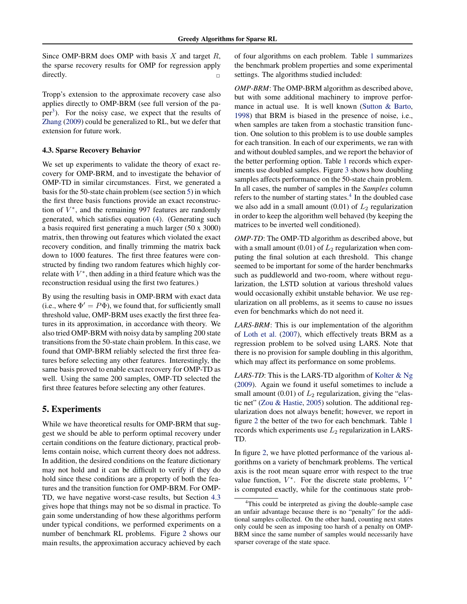Since OMP-BRM does OMP with basis  $X$  and target  $R$ , the sparse recovery results for OMP for regression apply directly.

Tropp's extension to the approximate recovery case also applies directly to OMP-BRM (see full version of the pa-per<sup>[3](#page-0-0)</sup>). For the noisy case, we expect that the results of [Zhang](#page-7-0) [\(2009\)](#page-7-0) could be generalized to RL, but we defer that extension for future work.

#### 4.3. Sparse Recovery Behavior

We set up experiments to validate the theory of exact recovery for OMP-BRM, and to investigate the behavior of OMP-TD in similar circumstances. First, we generated a basis for the 50-state chain problem (see section 5) in which the first three basis functions provide an exact reconstruction of  $V^*$ , and the remaining 997 features are randomly generated, which satisfies equation [\(4\)](#page-3-0). (Generating such a basis required first generating a much larger (50 x 3000) matrix, then throwing out features which violated the exact recovery condition, and finally trimming the matrix back down to 1000 features. The first three features were constructed by finding two random features which highly correlate with  $V^*$ , then adding in a third feature which was the reconstruction residual using the first two features.)

By using the resulting basis in OMP-BRM with exact data (i.e., where  $\Phi' = P\Phi$ ), we found that, for sufficiently small threshold value, OMP-BRM uses exactly the first three features in its approximation, in accordance with theory. We also tried OMP-BRM with noisy data by sampling 200 state transitions from the 50-state chain problem. In this case, we found that OMP-BRM reliably selected the first three features before selecting any other features. Interestingly, the same basis proved to enable exact recovery for OMP-TD as well. Using the same 200 samples, OMP-TD selected the first three features before selecting any other features.

# 5. Experiments

While we have theoretical results for OMP-BRM that suggest we should be able to perform optimal recovery under certain conditions on the feature dictionary, practical problems contain noise, which current theory does not address. In addition, the desired conditions on the feature dictionary may not hold and it can be difficult to verify if they do hold since these conditions are a property of both the features and the transition function for OMP-BRM. For OMP-TD, we have negative worst-case results, but Section 4.3 gives hope that things may not be so dismal in practice. To gain some understanding of how these algorithms perform under typical conditions, we performed experiments on a number of benchmark RL problems. Figure [2](#page-5-0) shows our main results, the approximation accuracy achieved by each

of four algorithms on each problem. Table [1](#page-6-0) summarizes the benchmark problem properties and some experimental settings. The algorithms studied included:

*OMP-BRM*: The OMP-BRM algorithm as described above, but with some additional machinery to improve performance in actual use. It is well known [\(Sutton & Barto,](#page-7-0) [1998\)](#page-7-0) that BRM is biased in the presence of noise, i.e., when samples are taken from a stochastic transition function. One solution to this problem is to use double samples for each transition. In each of our experiments, we ran with and without doubled samples, and we report the behavior of the better performing option. Table [1](#page-6-0) records which experiments use doubled samples. Figure [3](#page-6-0) shows how doubling samples affects performance on the 50-state chain problem. In all cases, the number of samples in the *Samples* column refers to the number of starting states.<sup>[4](#page-0-0)</sup> In the doubled case we also add in a small amount  $(0.01)$  of  $L_2$  regularization in order to keep the algorithm well behaved (by keeping the matrices to be inverted well conditioned).

*OMP-TD*: The OMP-TD algorithm as described above, but with a small amount (0.01) of  $L_2$  regularization when computing the final solution at each threshold. This change seemed to be important for some of the harder benchmarks such as puddleworld and two-room, where without regularization, the LSTD solution at various threshold values would occasionally exhibit unstable behavior. We use regularization on all problems, as it seems to cause no issues even for benchmarks which do not need it.

*LARS-BRM*: This is our implementation of the algorithm of [Loth et al.](#page-7-0) [\(2007\)](#page-7-0), which effectively treats BRM as a regression problem to be solved using LARS. Note that there is no provision for sample doubling in this algorithm, which may affect its performance on some problems.

*LARS-TD*: This is the LARS-TD algorithm of [Kolter & Ng](#page-7-0) [\(2009\)](#page-7-0). Again we found it useful sometimes to include a small amount (0.01) of  $L_2$  regularization, giving the "elastic net" [\(Zou & Hastie,](#page-7-0) [2005\)](#page-7-0) solution. The additional regularization does not always benefit; however, we report in figure [2](#page-5-0) the better of the two for each benchmark. Table [1](#page-6-0) records which experiments use  $L_2$  regularization in LARS-TD.

In figure [2,](#page-5-0) we have plotted performance of the various algorithms on a variety of benchmark problems. The vertical axis is the root mean square error with respect to the true value function,  $V^*$ . For the discrete state problems,  $V^*$ is computed exactly, while for the continuous state prob-

<sup>&</sup>lt;sup>4</sup>This could be interpreted as giving the double-sample case an unfair advantage because there is no "penalty" for the additional samples collected. On the other hand, counting next states only could be seen as imposing too harsh of a penalty on OMP-BRM since the same number of samples would necessarily have sparser coverage of the state space.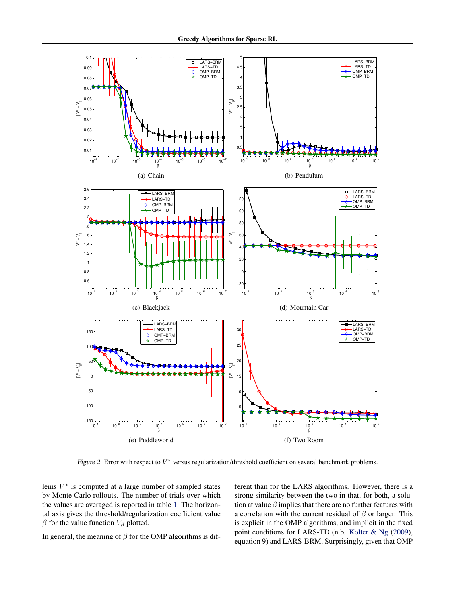<span id="page-5-0"></span>

Figure 2. Error with respect to  $V^*$  versus regularization/threshold coefficient on several benchmark problems.

lems  $V^*$  is computed at a large number of sampled states by Monte Carlo rollouts. The number of trials over which the values are averaged is reported in table [1.](#page-6-0) The horizontal axis gives the threshold/regularization coefficient value  $\beta$  for the value function  $V_{\beta}$  plotted.

In general, the meaning of  $\beta$  for the OMP algorithms is dif-

ferent than for the LARS algorithms. However, there is a strong similarity between the two in that, for both, a solution at value  $\beta$  implies that there are no further features with a correlation with the current residual of  $\beta$  or larger. This is explicit in the OMP algorithms, and implicit in the fixed point conditions for LARS-TD (n.b. [Kolter & Ng](#page-7-0) [\(2009\)](#page-7-0), equation 9) and LARS-BRM. Surprisingly, given that OMP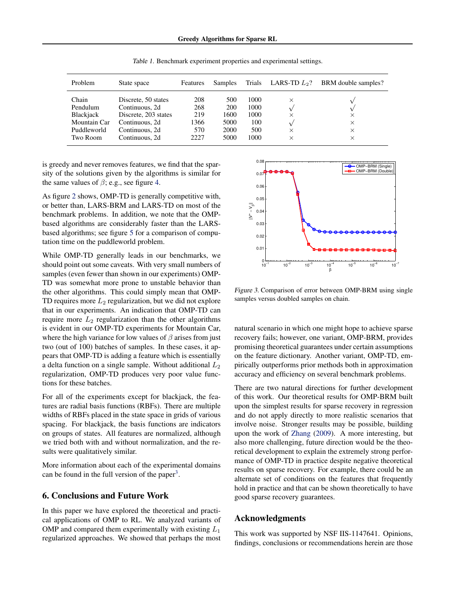<span id="page-6-0"></span>

| Problem          | State space          | Features | Samples | Trials | LARS-TD $L_2$ ? | BRM double samples? |
|------------------|----------------------|----------|---------|--------|-----------------|---------------------|
| Chain            | Discrete, 50 states  | 208      | 500     | 1000   | $\times$        |                     |
| Pendulum         | Continuous, 2d       | 268      | 200     | 1000   |                 |                     |
| <b>Blackjack</b> | Discrete, 203 states | 219      | 1600    | 1000   | $\times$        | $\times$            |
| Mountain Car     | Continuous, 2d       | 1366     | 5000    | 100    |                 | $\times$            |
| Puddleworld      | Continuous, 2d       | 570      | 2000    | 500    | $\times$        | $\times$            |
| Two Room         | Continuous, 2d       | 2227     | 5000    | 1000   | $\times$        | X                   |

Table 1. Benchmark experiment properties and experimental settings.

is greedy and never removes features, we find that the sparsity of the solutions given by the algorithms is similar for the same values of  $\beta$ ; e.g., see figure [4.](#page-7-0)

As figure [2](#page-5-0) shows, OMP-TD is generally competitive with, or better than, LARS-BRM and LARS-TD on most of the benchmark problems. In addition, we note that the OMPbased algorithms are considerably faster than the LARSbased algorithms; see figure [5](#page-7-0) for a comparison of computation time on the puddleworld problem.

While OMP-TD generally leads in our benchmarks, we should point out some caveats. With very small numbers of samples (even fewer than shown in our experiments) OMP-TD was somewhat more prone to unstable behavior than the other algorithms. This could simply mean that OMP-TD requires more  $L_2$  regularization, but we did not explore that in our experiments. An indication that OMP-TD can require more  $L_2$  regularization than the other algorithms is evident in our OMP-TD experiments for Mountain Car, where the high variance for low values of  $\beta$  arises from just two (out of 100) batches of samples. In these cases, it appears that OMP-TD is adding a feature which is essentially a delta function on a single sample. Without additional  $L_2$ regularization, OMP-TD produces very poor value functions for these batches.

For all of the experiments except for blackjack, the features are radial basis functions (RBFs). There are multiple widths of RBFs placed in the state space in grids of various spacing. For blackjack, the basis functions are indicators on groups of states. All features are normalized, although we tried both with and without normalization, and the results were qualitatively similar.

More information about each of the experimental domains can be found in the full version of the paper<sup>[3](#page-0-0)</sup>.

# 6. Conclusions and Future Work

In this paper we have explored the theoretical and practical applications of OMP to RL. We analyzed variants of OMP and compared them experimentally with existing  $L_1$ regularized approaches. We showed that perhaps the most



Figure 3. Comparison of error between OMP-BRM using single samples versus doubled samples on chain.

natural scenario in which one might hope to achieve sparse recovery fails; however, one variant, OMP-BRM, provides promising theoretical guarantees under certain assumptions on the feature dictionary. Another variant, OMP-TD, empirically outperforms prior methods both in approximation accuracy and efficiency on several benchmark problems.

There are two natural directions for further development of this work. Our theoretical results for OMP-BRM built upon the simplest results for sparse recovery in regression and do not apply directly to more realistic scenarios that involve noise. Stronger results may be possible, building upon the work of [Zhang](#page-7-0) [\(2009\)](#page-7-0). A more interesting, but also more challenging, future direction would be the theoretical development to explain the extremely strong performance of OMP-TD in practice despite negative theoretical results on sparse recovery. For example, there could be an alternate set of conditions on the features that frequently hold in practice and that can be shown theoretically to have good sparse recovery guarantees.

### Acknowledgments

This work was supported by NSF IIS-1147641. Opinions, findings, conclusions or recommendations herein are those